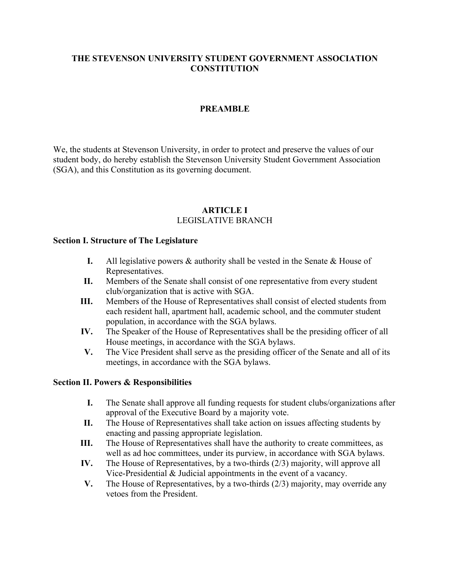#### **THE STEVENSON UNIVERSITY STUDENT GOVERNMENT ASSOCIATION CONSTITUTION**

#### **PREAMBLE**

We, the students at Stevenson University, in order to protect and preserve the values of our student body, do hereby establish the Stevenson University Student Government Association (SGA), and this Constitution as its governing document.

#### **ARTICLE I** LEGISLATIVE BRANCH

#### **Section I. Structure of The Legislature**

- **I.** All legislative powers & authority shall be vested in the Senate & House of Representatives.
- **II.** Members of the Senate shall consist of one representative from every student club/organization that is active with SGA.
- **III.** Members of the House of Representatives shall consist of elected students from each resident hall, apartment hall, academic school, and the commuter student population, in accordance with the SGA bylaws.
- **IV.** The Speaker of the House of Representatives shall be the presiding officer of all House meetings, in accordance with the SGA bylaws.
- **V.** The Vice President shall serve as the presiding officer of the Senate and all of its meetings, in accordance with the SGA bylaws.

#### **Section II. Powers & Responsibilities**

- **I.** The Senate shall approve all funding requests for student clubs/organizations after approval of the Executive Board by a majority vote.
- **II.** The House of Representatives shall take action on issues affecting students by enacting and passing appropriate legislation.
- **III.** The House of Representatives shall have the authority to create committees, as well as ad hoc committees, under its purview, in accordance with SGA bylaws.
- **IV.** The House of Representatives, by a two-thirds (2/3) majority, will approve all Vice-Presidential & Judicial appointments in the event of a vacancy.
- **V.** The House of Representatives, by a two-thirds (2/3) majority, may override any vetoes from the President.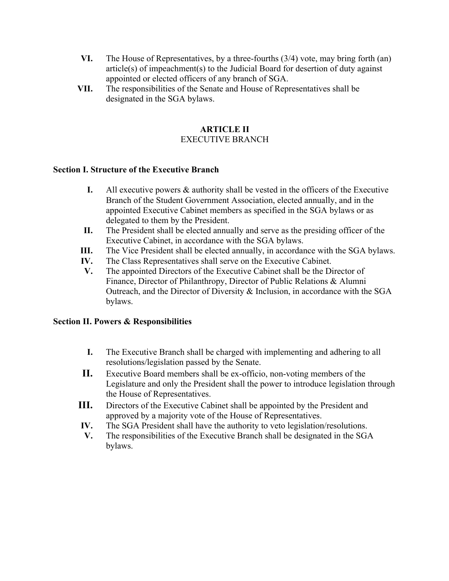- **VI.** The House of Representatives, by a three-fourths (3/4) vote, may bring forth (an) article(s) of impeachment(s) to the Judicial Board for desertion of duty against appointed or elected officers of any branch of SGA.
- **VII.** The responsibilities of the Senate and House of Representatives shall be designated in the SGA bylaws.

# **ARTICLE II**

# EXECUTIVE BRANCH

## **Section I. Structure of the Executive Branch**

- **I.** All executive powers & authority shall be vested in the officers of the Executive Branch of the Student Government Association, elected annually, and in the appointed Executive Cabinet members as specified in the SGA bylaws or as delegated to them by the President.
- **II.** The President shall be elected annually and serve as the presiding officer of the Executive Cabinet, in accordance with the SGA bylaws.
- **III.** The Vice President shall be elected annually, in accordance with the SGA bylaws.
- **IV.** The Class Representatives shall serve on the Executive Cabinet.
- **V.** The appointed Directors of the Executive Cabinet shall be the Director of Finance, Director of Philanthropy, Director of Public Relations & Alumni Outreach, and the Director of Diversity & Inclusion, in accordance with the SGA bylaws.

### **Section II. Powers & Responsibilities**

- **I.** The Executive Branch shall be charged with implementing and adhering to all resolutions/legislation passed by the Senate.
- **II.** Executive Board members shall be ex-officio, non-voting members of the Legislature and only the President shall the power to introduce legislation through the House of Representatives.
- **III.** Directors of the Executive Cabinet shall be appointed by the President and approved by a majority vote of the House of Representatives.
- **IV.** The SGA President shall have the authority to veto legislation/resolutions.
- **V.** The responsibilities of the Executive Branch shall be designated in the SGA bylaws.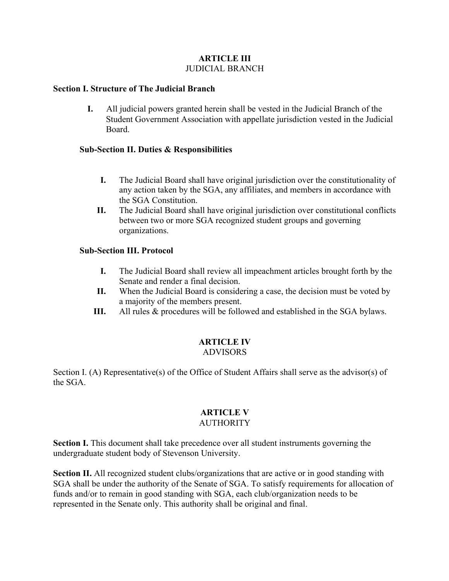#### **ARTICLE III** JUDICIAL BRANCH

#### **Section I. Structure of The Judicial Branch**

**I.** All judicial powers granted herein shall be vested in the Judicial Branch of the Student Government Association with appellate jurisdiction vested in the Judicial Board.

#### **Sub-Section II. Duties & Responsibilities**

- **I.** The Judicial Board shall have original jurisdiction over the constitutionality of any action taken by the SGA, any affiliates, and members in accordance with the SGA Constitution.
- **II.** The Judicial Board shall have original jurisdiction over constitutional conflicts between two or more SGA recognized student groups and governing organizations.

#### **Sub-Section III. Protocol**

- **I.** The Judicial Board shall review all impeachment articles brought forth by the Senate and render a final decision.
- **II.** When the Judicial Board is considering a case, the decision must be voted by a majority of the members present.
- **III.** All rules & procedures will be followed and established in the SGA bylaws.

#### **ARTICLE IV**  ADVISORS

Section I. (A) Representative(s) of the Office of Student Affairs shall serve as the advisor(s) of the SGA.

# **ARTICLE V**

#### **AUTHORITY**

**Section I.** This document shall take precedence over all student instruments governing the undergraduate student body of Stevenson University.

**Section II.** All recognized student clubs/organizations that are active or in good standing with SGA shall be under the authority of the Senate of SGA. To satisfy requirements for allocation of funds and/or to remain in good standing with SGA, each club/organization needs to be represented in the Senate only. This authority shall be original and final.